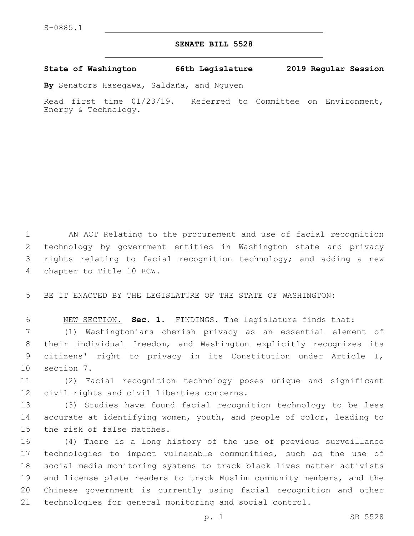## **SENATE BILL 5528**

**State of Washington 66th Legislature 2019 Regular Session**

**By** Senators Hasegawa, Saldaña, and Nguyen

Read first time 01/23/19. Referred to Committee on Environment, Energy & Technology.

1 AN ACT Relating to the procurement and use of facial recognition 2 technology by government entities in Washington state and privacy 3 rights relating to facial recognition technology; and adding a new 4 chapter to Title 10 RCW.

5 BE IT ENACTED BY THE LEGISLATURE OF THE STATE OF WASHINGTON:

6 NEW SECTION. **Sec. 1.** FINDINGS. The legislature finds that:

 (1) Washingtonians cherish privacy as an essential element of their individual freedom, and Washington explicitly recognizes its citizens' right to privacy in its Constitution under Article I, 10 section 7.

11 (2) Facial recognition technology poses unique and significant 12 civil rights and civil liberties concerns.

13 (3) Studies have found facial recognition technology to be less 14 accurate at identifying women, youth, and people of color, leading to 15 the risk of false matches.

 (4) There is a long history of the use of previous surveillance technologies to impact vulnerable communities, such as the use of social media monitoring systems to track black lives matter activists and license plate readers to track Muslim community members, and the Chinese government is currently using facial recognition and other technologies for general monitoring and social control.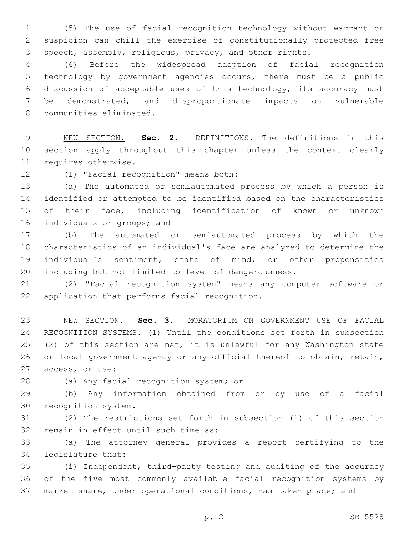(5) The use of facial recognition technology without warrant or suspicion can chill the exercise of constitutionally protected free speech, assembly, religious, privacy, and other rights.

 (6) Before the widespread adoption of facial recognition technology by government agencies occurs, there must be a public discussion of acceptable uses of this technology, its accuracy must be demonstrated, and disproportionate impacts on vulnerable 8 communities eliminated.

 NEW SECTION. **Sec. 2.** DEFINITIONS. The definitions in this section apply throughout this chapter unless the context clearly requires otherwise.

12 (1) "Facial recognition" means both:

 (a) The automated or semiautomated process by which a person is identified or attempted to be identified based on the characteristics of their face, including identification of known or unknown 16 individuals or groups; and

 (b) The automated or semiautomated process by which the characteristics of an individual's face are analyzed to determine the individual's sentiment, state of mind, or other propensities including but not limited to level of dangerousness.

 (2) "Facial recognition system" means any computer software or 22 application that performs facial recognition.

 NEW SECTION. **Sec. 3.** MORATORIUM ON GOVERNMENT USE OF FACIAL RECOGNITION SYSTEMS. (1) Until the conditions set forth in subsection (2) of this section are met, it is unlawful for any Washington state or local government agency or any official thereof to obtain, retain, access, or use:

28 (a) Any facial recognition system; or

 (b) Any information obtained from or by use of a facial 30 recognition system.

 (2) The restrictions set forth in subsection (1) of this section 32 remain in effect until such time as:

 (a) The attorney general provides a report certifying to the 34 legislature that:

 (i) Independent, third-party testing and auditing of the accuracy of the five most commonly available facial recognition systems by market share, under operational conditions, has taken place; and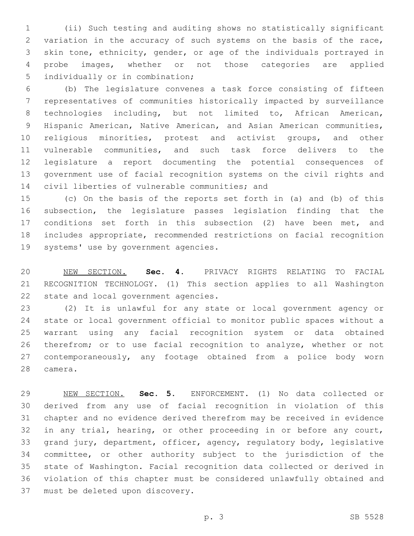(ii) Such testing and auditing shows no statistically significant variation in the accuracy of such systems on the basis of the race, skin tone, ethnicity, gender, or age of the individuals portrayed in probe images, whether or not those categories are applied 5 individually or in combination;

 (b) The legislature convenes a task force consisting of fifteen representatives of communities historically impacted by surveillance technologies including, but not limited to, African American, Hispanic American, Native American, and Asian American communities, religious minorities, protest and activist groups, and other vulnerable communities, and such task force delivers to the legislature a report documenting the potential consequences of government use of facial recognition systems on the civil rights and 14 civil liberties of vulnerable communities; and

 (c) On the basis of the reports set forth in (a) and (b) of this subsection, the legislature passes legislation finding that the conditions set forth in this subsection (2) have been met, and includes appropriate, recommended restrictions on facial recognition 19 systems' use by government agencies.

 NEW SECTION. **Sec. 4.** PRIVACY RIGHTS RELATING TO FACIAL RECOGNITION TECHNOLOGY. (1) This section applies to all Washington state and local government agencies.

 (2) It is unlawful for any state or local government agency or state or local government official to monitor public spaces without a warrant using any facial recognition system or data obtained therefrom; or to use facial recognition to analyze, whether or not contemporaneously, any footage obtained from a police body worn 28 camera.

 NEW SECTION. **Sec. 5.** ENFORCEMENT. (1) No data collected or derived from any use of facial recognition in violation of this chapter and no evidence derived therefrom may be received in evidence in any trial, hearing, or other proceeding in or before any court, grand jury, department, officer, agency, regulatory body, legislative committee, or other authority subject to the jurisdiction of the state of Washington. Facial recognition data collected or derived in violation of this chapter must be considered unlawfully obtained and must be deleted upon discovery.